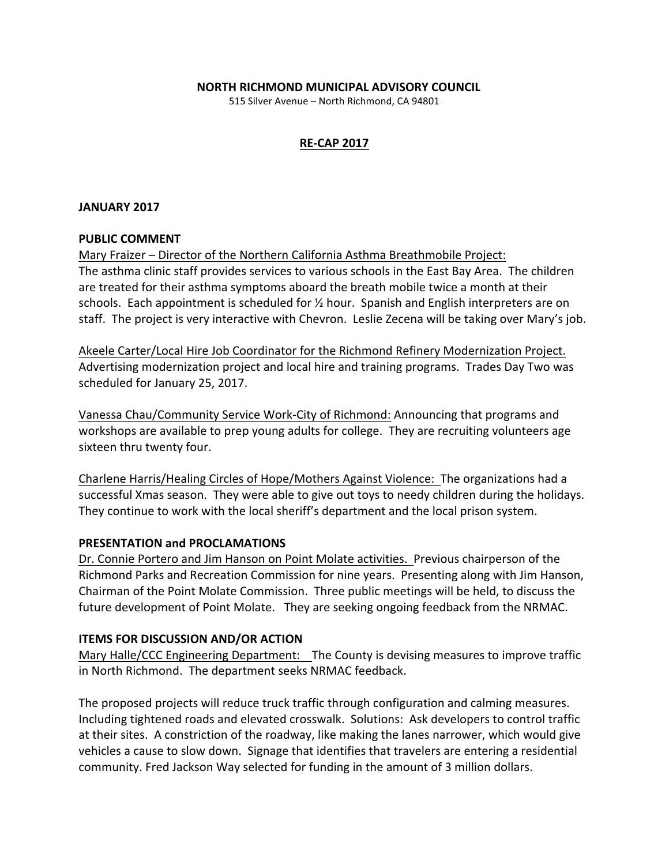## **NORTH RICHMOND MUNICIPAL ADVISORY COUNCIL**

515 Silver Avenue - North Richmond, CA 94801

# **RE-CAP 2017**

### **JANUARY 2017**

#### **PUBLIC COMMENT**

Mary Fraizer – Director of the Northern California Asthma Breathmobile Project: The asthma clinic staff provides services to various schools in the East Bay Area. The children are treated for their asthma symptoms aboard the breath mobile twice a month at their schools. Each appointment is scheduled for  $\frac{1}{2}$  hour. Spanish and English interpreters are on staff. The project is very interactive with Chevron. Leslie Zecena will be taking over Mary's job.

Akeele Carter/Local Hire Job Coordinator for the Richmond Refinery Modernization Project. Advertising modernization project and local hire and training programs. Trades Day Two was scheduled for January 25, 2017.

Vanessa Chau/Community Service Work-City of Richmond: Announcing that programs and workshops are available to prep young adults for college. They are recruiting volunteers age sixteen thru twenty four.

Charlene Harris/Healing Circles of Hope/Mothers Against Violence: The organizations had a successful Xmas season. They were able to give out toys to needy children during the holidays. They continue to work with the local sheriff's department and the local prison system.

# **PRESENTATION and PROCLAMATIONS**

Dr. Connie Portero and Jim Hanson on Point Molate activities. Previous chairperson of the Richmond Parks and Recreation Commission for nine years. Presenting along with Jim Hanson, Chairman of the Point Molate Commission. Three public meetings will be held, to discuss the future development of Point Molate. They are seeking ongoing feedback from the NRMAC.

# **ITEMS FOR DISCUSSION AND/OR ACTION**

Mary Halle/CCC Engineering Department: The County is devising measures to improve traffic in North Richmond. The department seeks NRMAC feedback.

The proposed projects will reduce truck traffic through configuration and calming measures. Including tightened roads and elevated crosswalk. Solutions: Ask developers to control traffic at their sites. A constriction of the roadway, like making the lanes narrower, which would give vehicles a cause to slow down. Signage that identifies that travelers are entering a residential community. Fred Jackson Way selected for funding in the amount of 3 million dollars.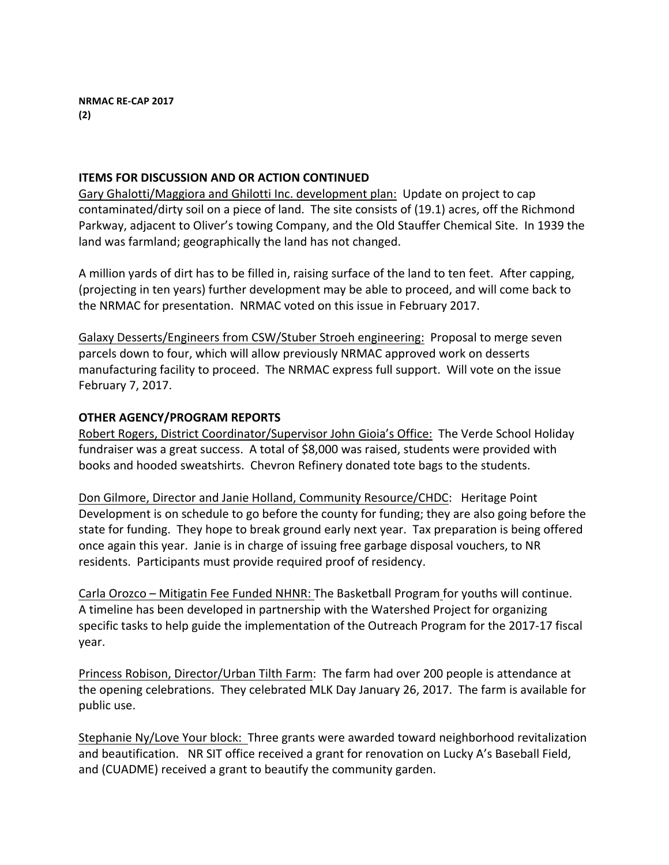# **ITEMS FOR DISCUSSION AND OR ACTION CONTINUED**

Gary Ghalotti/Maggiora and Ghilotti Inc. development plan: Update on project to cap contaminated/dirty soil on a piece of land. The site consists of (19.1) acres, off the Richmond Parkway, adjacent to Oliver's towing Company, and the Old Stauffer Chemical Site. In 1939 the land was farmland; geographically the land has not changed.

A million yards of dirt has to be filled in, raising surface of the land to ten feet. After capping, (projecting in ten years) further development may be able to proceed, and will come back to the NRMAC for presentation. NRMAC voted on this issue in February 2017.

Galaxy Desserts/Engineers from CSW/Stuber Stroeh engineering: Proposal to merge seven parcels down to four, which will allow previously NRMAC approved work on desserts manufacturing facility to proceed. The NRMAC express full support. Will vote on the issue February 7, 2017.

# **OTHER AGENCY/PROGRAM REPORTS**

Robert Rogers, District Coordinator/Supervisor John Gioia's Office: The Verde School Holiday fundraiser was a great success. A total of \$8,000 was raised, students were provided with books and hooded sweatshirts. Chevron Refinery donated tote bags to the students.

Don Gilmore, Director and Janie Holland, Community Resource/CHDC: Heritage Point Development is on schedule to go before the county for funding; they are also going before the state for funding. They hope to break ground early next year. Tax preparation is being offered once again this year. Janie is in charge of issuing free garbage disposal vouchers, to NR residents. Participants must provide required proof of residency.

Carla Orozco – Mitigatin Fee Funded NHNR: The Basketball Program for youths will continue. A timeline has been developed in partnership with the Watershed Project for organizing specific tasks to help guide the implementation of the Outreach Program for the 2017-17 fiscal year.

Princess Robison, Director/Urban Tilth Farm: The farm had over 200 people is attendance at the opening celebrations. They celebrated MLK Day January 26, 2017. The farm is available for public use.

Stephanie Ny/Love Your block: Three grants were awarded toward neighborhood revitalization and beautification. NR SIT office received a grant for renovation on Lucky A's Baseball Field, and (CUADME) received a grant to beautify the community garden.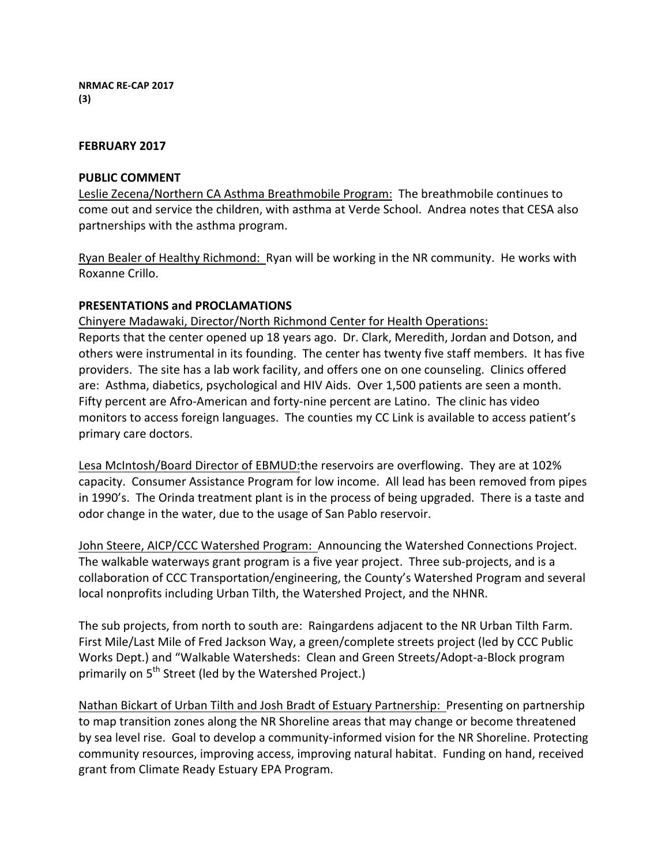## **FEBRUARY 2017**

## **PUBLIC COMMENT**

Leslie Zecena/Northern CA Asthma Breathmobile Program: The breathmobile continues to come out and service the children, with asthma at Verde School. Andrea notes that CESA also partnerships with the asthma program.

Ryan Bealer of Healthy Richmond: Ryan will be working in the NR community. He works with Roxanne Crillo.

# **PRESENTATIONS and PROCLAMATIONS**

Chinyere Madawaki, Director/North Richmond Center for Health Operations: Reports that the center opened up 18 years ago. Dr. Clark, Meredith, Jordan and Dotson, and others were instrumental in its founding. The center has twenty five staff members. It has five providers. The site has a lab work facility, and offers one on one counseling. Clinics offered are: Asthma, diabetics, psychological and HIV Aids. Over 1,500 patients are seen a month. Fifty percent are Afro-American and forty-nine percent are Latino. The clinic has video monitors to access foreign languages. The counties my CC Link is available to access patient's primary care doctors.

Lesa McIntosh/Board Director of EBMUD:the reservoirs are overflowing. They are at 102% capacity. Consumer Assistance Program for low income. All lead has been removed from pipes in 1990's. The Orinda treatment plant is in the process of being upgraded. There is a taste and odor change in the water, due to the usage of San Pablo reservoir.

John Steere, AICP/CCC Watershed Program: Announcing the Watershed Connections Project. The walkable waterways grant program is a five year project. Three sub-projects, and is a collaboration of CCC Transportation/engineering, the County's Watershed Program and several local nonprofits including Urban Tilth, the Watershed Project, and the NHNR.

The sub projects, from north to south are: Raingardens adjacent to the NR Urban Tilth Farm. First Mile/Last Mile of Fred Jackson Way, a green/complete streets project (led by CCC Public Works Dept.) and "Walkable Watersheds: Clean and Green Streets/Adopt-a-Block program primarily on 5<sup>th</sup> Street (led by the Watershed Project.)

Nathan Bickart of Urban Tilth and Josh Bradt of Estuary Partnership: Presenting on partnership to map transition zones along the NR Shoreline areas that may change or become threatened by sea level rise. Goal to develop a community-informed vision for the NR Shoreline. Protecting community resources, improving access, improving natural habitat. Funding on hand, received grant from Climate Ready Estuary EPA Program.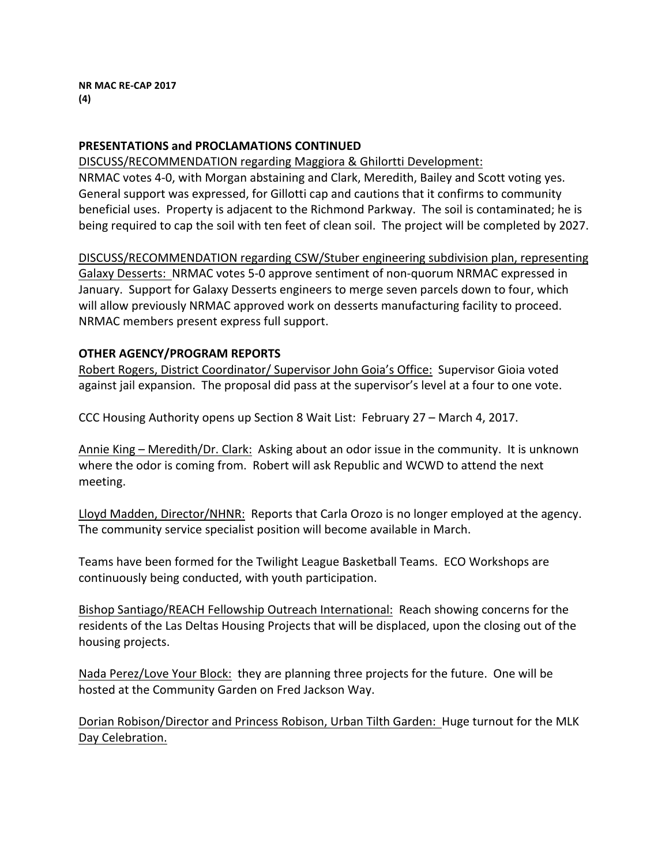# **PRESENTATIONS and PROCLAMATIONS CONTINUED**

DISCUSS/RECOMMENDATION regarding Maggiora & Ghilortti Development: NRMAC votes 4-0, with Morgan abstaining and Clark, Meredith, Bailey and Scott voting yes. General support was expressed, for Gillotti cap and cautions that it confirms to community beneficial uses. Property is adjacent to the Richmond Parkway. The soil is contaminated; he is being required to cap the soil with ten feet of clean soil. The project will be completed by 2027.

DISCUSS/RECOMMENDATION regarding CSW/Stuber engineering subdivision plan, representing Galaxy Desserts: NRMAC votes 5-0 approve sentiment of non-quorum NRMAC expressed in January. Support for Galaxy Desserts engineers to merge seven parcels down to four, which will allow previously NRMAC approved work on desserts manufacturing facility to proceed. NRMAC members present express full support.

# **OTHER AGENCY/PROGRAM REPORTS**

Robert Rogers, District Coordinator/ Supervisor John Goia's Office: Supervisor Gioia voted against jail expansion. The proposal did pass at the supervisor's level at a four to one vote.

CCC Housing Authority opens up Section 8 Wait List: February 27 – March 4, 2017.

Annie King – Meredith/Dr. Clark: Asking about an odor issue in the community. It is unknown where the odor is coming from. Robert will ask Republic and WCWD to attend the next meeting. 

Lloyd Madden, Director/NHNR: Reports that Carla Orozo is no longer employed at the agency. The community service specialist position will become available in March.

Teams have been formed for the Twilight League Basketball Teams. ECO Workshops are continuously being conducted, with youth participation.

Bishop Santiago/REACH Fellowship Outreach International: Reach showing concerns for the residents of the Las Deltas Housing Projects that will be displaced, upon the closing out of the housing projects.

Nada Perez/Love Your Block: they are planning three projects for the future. One will be hosted at the Community Garden on Fred Jackson Way.

Dorian Robison/Director and Princess Robison, Urban Tilth Garden: Huge turnout for the MLK Day Celebration.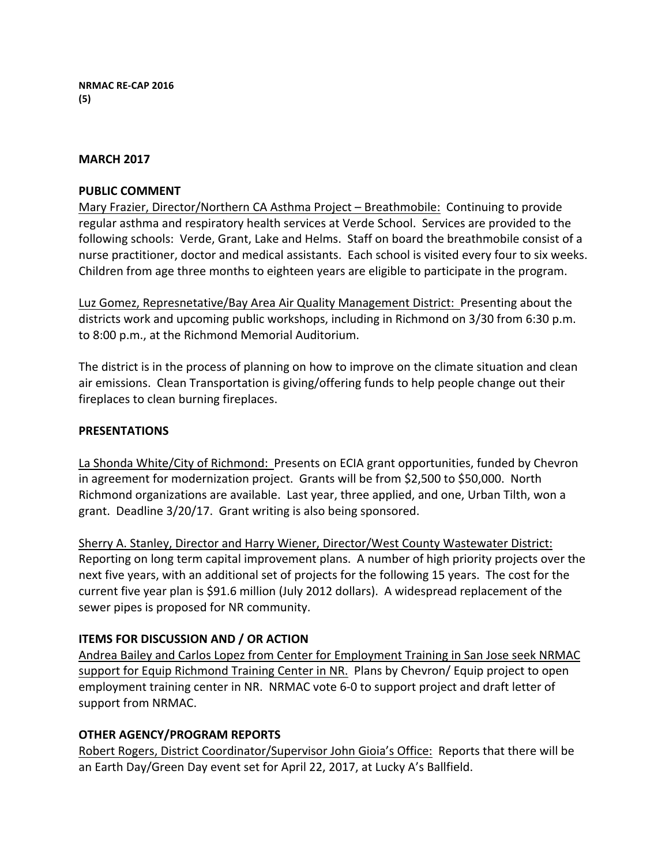## **MARCH 2017**

### **PUBLIC COMMENT**

Mary Frazier, Director/Northern CA Asthma Project – Breathmobile: Continuing to provide regular asthma and respiratory health services at Verde School. Services are provided to the following schools: Verde, Grant, Lake and Helms. Staff on board the breathmobile consist of a nurse practitioner, doctor and medical assistants. Each school is visited every four to six weeks. Children from age three months to eighteen years are eligible to participate in the program.

Luz Gomez, Represnetative/Bay Area Air Quality Management District: Presenting about the districts work and upcoming public workshops, including in Richmond on 3/30 from 6:30 p.m. to 8:00 p.m., at the Richmond Memorial Auditorium.

The district is in the process of planning on how to improve on the climate situation and clean air emissions. Clean Transportation is giving/offering funds to help people change out their fireplaces to clean burning fireplaces.

## **PRESENTATIONS**

La Shonda White/City of Richmond: Presents on ECIA grant opportunities, funded by Chevron in agreement for modernization project. Grants will be from \$2,500 to \$50,000. North Richmond organizations are available. Last year, three applied, and one, Urban Tilth, won a grant. Deadline  $3/20/17$ . Grant writing is also being sponsored.

Sherry A. Stanley, Director and Harry Wiener, Director/West County Wastewater District: Reporting on long term capital improvement plans. A number of high priority projects over the next five years, with an additional set of projects for the following 15 years. The cost for the current five year plan is \$91.6 million (July 2012 dollars). A widespread replacement of the sewer pipes is proposed for NR community.

# **ITEMS FOR DISCUSSION AND / OR ACTION**

Andrea Bailey and Carlos Lopez from Center for Employment Training in San Jose seek NRMAC support for Equip Richmond Training Center in NR. Plans by Chevron/ Equip project to open employment training center in NR. NRMAC vote 6-0 to support project and draft letter of support from NRMAC.

# **OTHER AGENCY/PROGRAM REPORTS**

Robert Rogers, District Coordinator/Supervisor John Gioia's Office: Reports that there will be an Earth Day/Green Day event set for April 22, 2017, at Lucky A's Ballfield.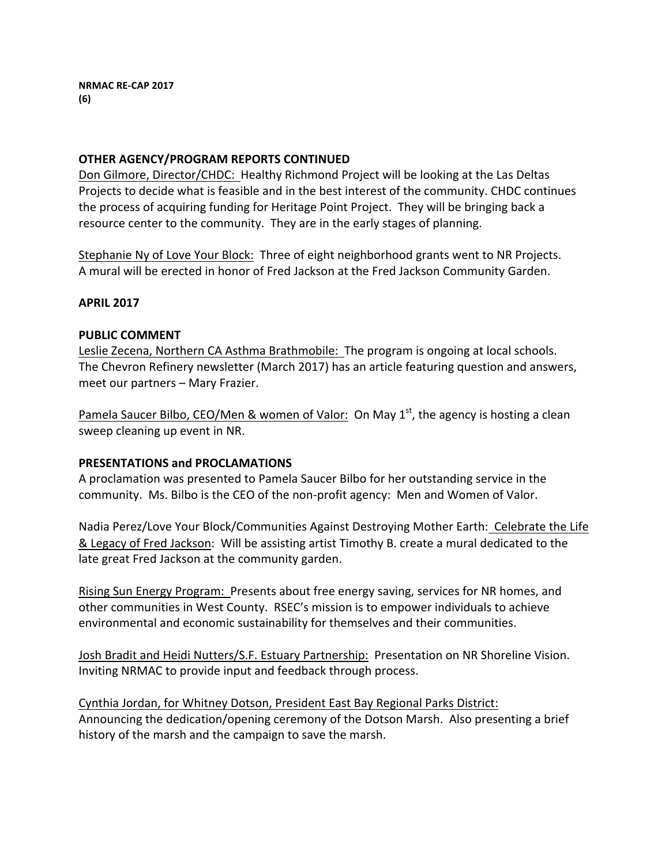# **OTHER AGENCY/PROGRAM REPORTS CONTINUED**

Don Gilmore, Director/CHDC: Healthy Richmond Project will be looking at the Las Deltas Projects to decide what is feasible and in the best interest of the community. CHDC continues the process of acquiring funding for Heritage Point Project. They will be bringing back a resource center to the community. They are in the early stages of planning.

Stephanie Ny of Love Your Block: Three of eight neighborhood grants went to NR Projects. A mural will be erected in honor of Fred Jackson at the Fred Jackson Community Garden.

## **APRIL 2017**

#### **PUBLIC COMMENT**

Leslie Zecena, Northern CA Asthma Brathmobile: The program is ongoing at local schools. The Chevron Refinery newsletter (March 2017) has an article featuring question and answers, meet our partners – Mary Frazier.

Pamela Saucer Bilbo, CEO/Men & women of Valor: On May  $1<sup>st</sup>$ , the agency is hosting a clean sweep cleaning up event in NR.

# **PRESENTATIONS and PROCLAMATIONS**

A proclamation was presented to Pamela Saucer Bilbo for her outstanding service in the community. Ms. Bilbo is the CEO of the non-profit agency: Men and Women of Valor.

Nadia Perez/Love Your Block/Communities Against Destroying Mother Earth: Celebrate the Life & Legacy of Fred Jackson: Will be assisting artist Timothy B. create a mural dedicated to the late great Fred Jackson at the community garden.

Rising Sun Energy Program: Presents about free energy saving, services for NR homes, and other communities in West County. RSEC's mission is to empower individuals to achieve environmental and economic sustainability for themselves and their communities.

Josh Bradit and Heidi Nutters/S.F. Estuary Partnership: Presentation on NR Shoreline Vision. Inviting NRMAC to provide input and feedback through process.

Cynthia Jordan, for Whitney Dotson, President East Bay Regional Parks District: Announcing the dedication/opening ceremony of the Dotson Marsh. Also presenting a brief history of the marsh and the campaign to save the marsh.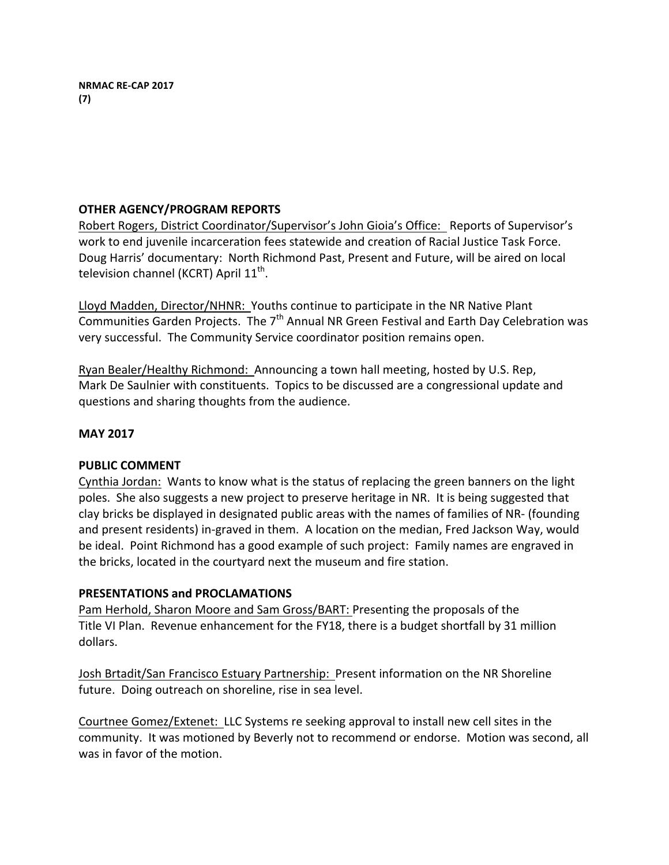# **OTHER AGENCY/PROGRAM REPORTS**

Robert Rogers, District Coordinator/Supervisor's John Gioia's Office: Reports of Supervisor's work to end juvenile incarceration fees statewide and creation of Racial Justice Task Force. Doug Harris' documentary: North Richmond Past, Present and Future, will be aired on local television channel (KCRT) April  $11<sup>th</sup>$ .

Lloyd Madden, Director/NHNR: Youths continue to participate in the NR Native Plant Communities Garden Projects. The  $7<sup>th</sup>$  Annual NR Green Festival and Earth Day Celebration was very successful. The Community Service coordinator position remains open.

Ryan Bealer/Healthy Richmond: Announcing a town hall meeting, hosted by U.S. Rep, Mark De Saulnier with constituents. Topics to be discussed are a congressional update and questions and sharing thoughts from the audience.

# **MAY 2017**

# **PUBLIC COMMENT**

Cynthia Jordan: Wants to know what is the status of replacing the green banners on the light poles. She also suggests a new project to preserve heritage in NR. It is being suggested that clay bricks be displayed in designated public areas with the names of families of NR- (founding and present residents) in-graved in them. A location on the median, Fred Jackson Way, would be ideal. Point Richmond has a good example of such project: Family names are engraved in the bricks, located in the courtyard next the museum and fire station.

# **PRESENTATIONS and PROCLAMATIONS**

Pam Herhold, Sharon Moore and Sam Gross/BART: Presenting the proposals of the Title VI Plan. Revenue enhancement for the FY18, there is a budget shortfall by 31 million dollars. 

Josh Brtadit/San Francisco Estuary Partnership: Present information on the NR Shoreline future. Doing outreach on shoreline, rise in sea level.

Courtnee Gomez/Extenet: LLC Systems re seeking approval to install new cell sites in the community. It was motioned by Beverly not to recommend or endorse. Motion was second, all was in favor of the motion.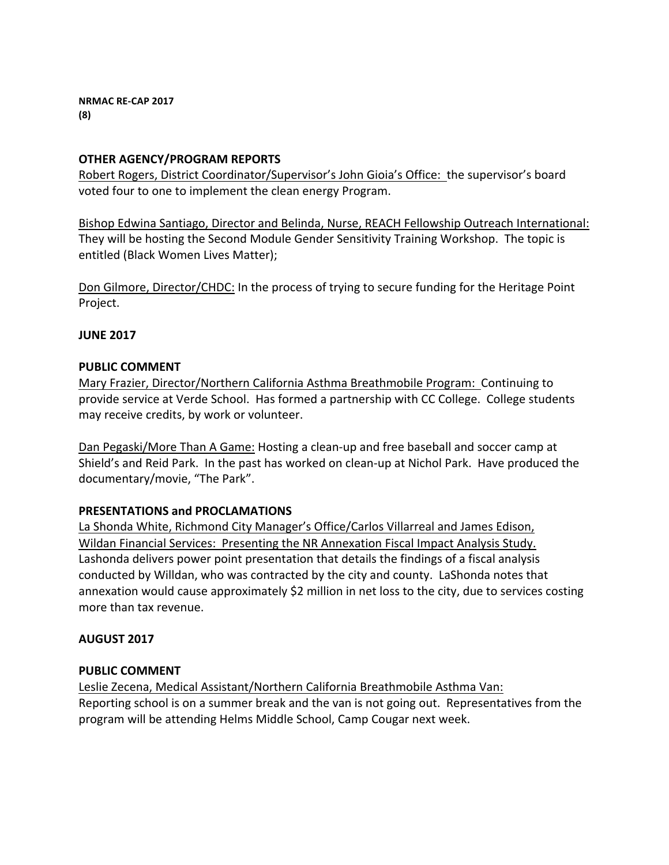**NRMAC RE-CAP 2017 (8)**

# **OTHER AGENCY/PROGRAM REPORTS**

Robert Rogers, District Coordinator/Supervisor's John Gioia's Office: the supervisor's board voted four to one to implement the clean energy Program.

Bishop Edwina Santiago, Director and Belinda, Nurse, REACH Fellowship Outreach International: They will be hosting the Second Module Gender Sensitivity Training Workshop. The topic is entitled (Black Women Lives Matter);

Don Gilmore, Director/CHDC: In the process of trying to secure funding for the Heritage Point Project. 

## **JUNE 2017**

## **PUBLIC COMMENT**

Mary Frazier, Director/Northern California Asthma Breathmobile Program: Continuing to provide service at Verde School. Has formed a partnership with CC College. College students may receive credits, by work or volunteer.

Dan Pegaski/More Than A Game: Hosting a clean-up and free baseball and soccer camp at Shield's and Reid Park. In the past has worked on clean-up at Nichol Park. Have produced the documentary/movie, "The Park".

# **PRESENTATIONS and PROCLAMATIONS**

La Shonda White, Richmond City Manager's Office/Carlos Villarreal and James Edison, Wildan Financial Services: Presenting the NR Annexation Fiscal Impact Analysis Study. Lashonda delivers power point presentation that details the findings of a fiscal analysis conducted by Willdan, who was contracted by the city and county. LaShonda notes that annexation would cause approximately \$2 million in net loss to the city, due to services costing more than tax revenue.

# **AUGUST 2017**

#### **PUBLIC COMMENT**

Leslie Zecena, Medical Assistant/Northern California Breathmobile Asthma Van: Reporting school is on a summer break and the van is not going out. Representatives from the program will be attending Helms Middle School, Camp Cougar next week.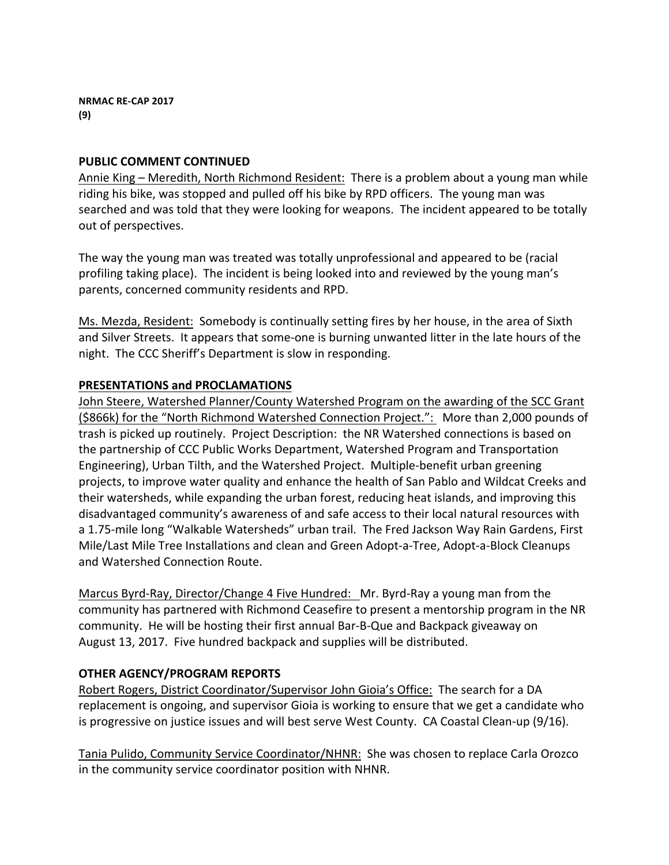# **PUBLIC COMMENT CONTINUED**

Annie King – Meredith, North Richmond Resident: There is a problem about a young man while riding his bike, was stopped and pulled off his bike by RPD officers. The young man was searched and was told that they were looking for weapons. The incident appeared to be totally out of perspectives.

The way the young man was treated was totally unprofessional and appeared to be (racial profiling taking place). The incident is being looked into and reviewed by the young man's parents, concerned community residents and RPD.

Ms. Mezda, Resident: Somebody is continually setting fires by her house, in the area of Sixth and Silver Streets. It appears that some-one is burning unwanted litter in the late hours of the night. The CCC Sheriff's Department is slow in responding.

# **PRESENTATIONS and PROCLAMATIONS**

John Steere, Watershed Planner/County Watershed Program on the awarding of the SCC Grant (\$866k) for the "North Richmond Watershed Connection Project.": More than 2,000 pounds of trash is picked up routinely. Project Description: the NR Watershed connections is based on the partnership of CCC Public Works Department, Watershed Program and Transportation Engineering), Urban Tilth, and the Watershed Project. Multiple-benefit urban greening projects, to improve water quality and enhance the health of San Pablo and Wildcat Creeks and their watersheds, while expanding the urban forest, reducing heat islands, and improving this disadvantaged community's awareness of and safe access to their local natural resources with a 1.75-mile long "Walkable Watersheds" urban trail. The Fred Jackson Way Rain Gardens, First Mile/Last Mile Tree Installations and clean and Green Adopt-a-Tree, Adopt-a-Block Cleanups and Watershed Connection Route.

Marcus Byrd-Ray, Director/Change 4 Five Hundred: Mr. Byrd-Ray a young man from the community has partnered with Richmond Ceasefire to present a mentorship program in the NR community. He will be hosting their first annual Bar-B-Que and Backpack giveaway on August 13, 2017. Five hundred backpack and supplies will be distributed.

# **OTHER AGENCY/PROGRAM REPORTS**

Robert Rogers, District Coordinator/Supervisor John Gioia's Office: The search for a DA replacement is ongoing, and supervisor Gioia is working to ensure that we get a candidate who is progressive on justice issues and will best serve West County. CA Coastal Clean-up (9/16).

Tania Pulido, Community Service Coordinator/NHNR: She was chosen to replace Carla Orozco in the community service coordinator position with NHNR.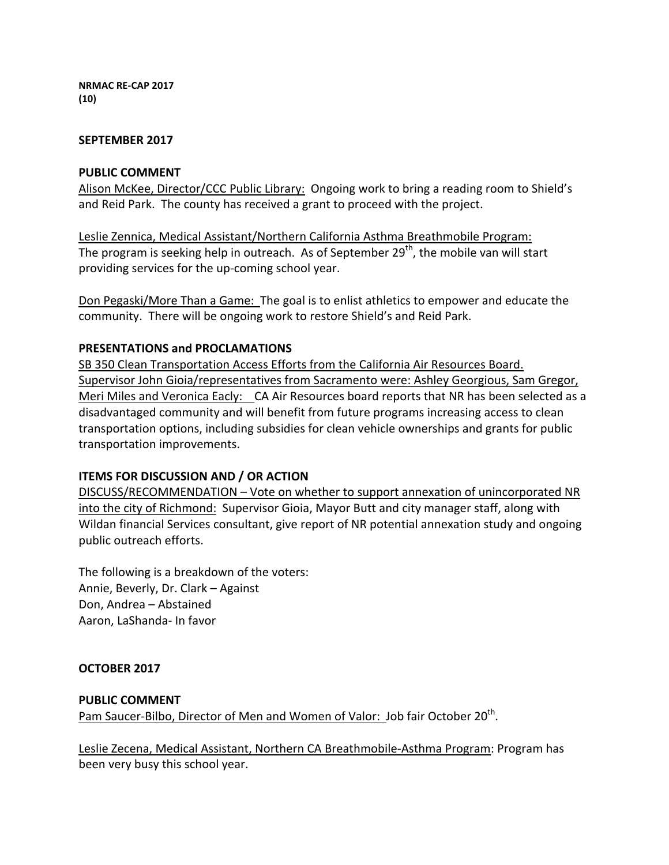**NRMAC RE-CAP 2017 (10)**

#### **SEPTEMBER 2017**

#### **PUBLIC COMMENT**

Alison McKee, Director/CCC Public Library: Ongoing work to bring a reading room to Shield's and Reid Park. The county has received a grant to proceed with the project.

Leslie Zennica, Medical Assistant/Northern California Asthma Breathmobile Program: The program is seeking help in outreach. As of September  $29<sup>th</sup>$ , the mobile van will start providing services for the up-coming school year.

Don Pegaski/More Than a Game: The goal is to enlist athletics to empower and educate the community. There will be ongoing work to restore Shield's and Reid Park.

#### **PRESENTATIONS and PROCLAMATIONS**

SB 350 Clean Transportation Access Efforts from the California Air Resources Board. Supervisor John Gioia/representatives from Sacramento were: Ashley Georgious, Sam Gregor, Meri Miles and Veronica Eacly: CA Air Resources board reports that NR has been selected as a disadvantaged community and will benefit from future programs increasing access to clean transportation options, including subsidies for clean vehicle ownerships and grants for public transportation improvements.

#### **ITEMS FOR DISCUSSION AND / OR ACTION**

DISCUSS/RECOMMENDATION – Vote on whether to support annexation of unincorporated NR into the city of Richmond: Supervisor Gioia, Mayor Butt and city manager staff, along with Wildan financial Services consultant, give report of NR potential annexation study and ongoing public outreach efforts.

The following is a breakdown of the voters: Annie, Beverly, Dr. Clark - Against Don, Andrea – Abstained Aaron, LaShanda- In favor

#### **OCTOBER 2017**

#### **PUBLIC COMMENT**

Pam Saucer-Bilbo, Director of Men and Women of Valor: Job fair October 20<sup>th</sup>.

Leslie Zecena, Medical Assistant, Northern CA Breathmobile-Asthma Program: Program has been very busy this school year.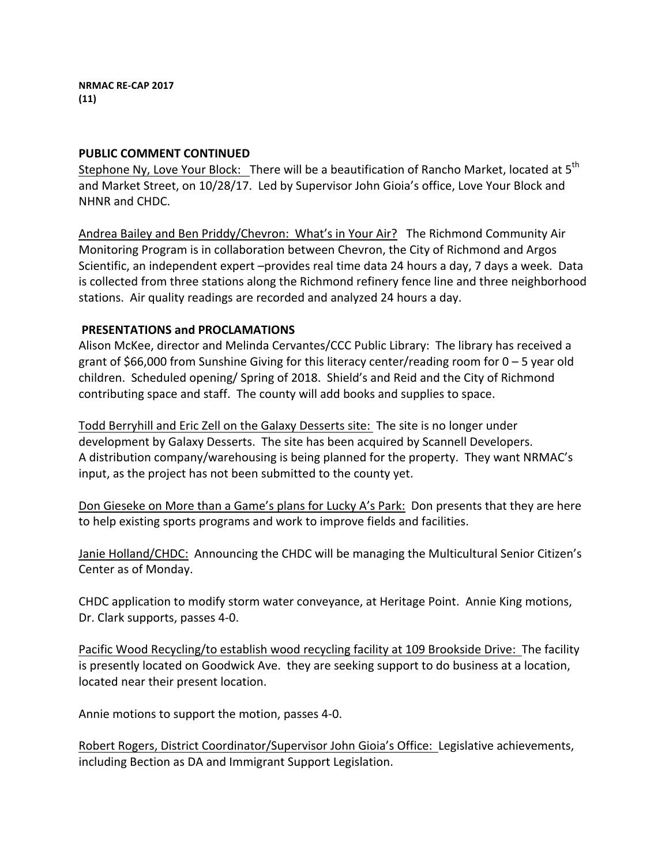## **PUBLIC COMMENT CONTINUED**

Stephone Ny, Love Your Block: There will be a beautification of Rancho Market, located at 5<sup>th</sup> and Market Street, on 10/28/17. Led by Supervisor John Gioia's office, Love Your Block and NHNR and CHDC.

Andrea Bailey and Ben Priddy/Chevron: What's in Your Air? The Richmond Community Air Monitoring Program is in collaboration between Chevron, the City of Richmond and Argos Scientific, an independent expert -provides real time data 24 hours a day, 7 days a week. Data is collected from three stations along the Richmond refinery fence line and three neighborhood stations. Air quality readings are recorded and analyzed 24 hours a day.

# **PRESENTATIONS and PROCLAMATIONS**

Alison McKee, director and Melinda Cervantes/CCC Public Library: The library has received a grant of \$66,000 from Sunshine Giving for this literacy center/reading room for  $0 - 5$  year old children. Scheduled opening/ Spring of 2018. Shield's and Reid and the City of Richmond contributing space and staff. The county will add books and supplies to space.

Todd Berryhill and Eric Zell on the Galaxy Desserts site: The site is no longer under development by Galaxy Desserts. The site has been acquired by Scannell Developers. A distribution company/warehousing is being planned for the property. They want NRMAC's input, as the project has not been submitted to the county yet.

Don Gieseke on More than a Game's plans for Lucky A's Park: Don presents that they are here to help existing sports programs and work to improve fields and facilities.

Janie Holland/CHDC: Announcing the CHDC will be managing the Multicultural Senior Citizen's Center as of Monday.

CHDC application to modify storm water conveyance, at Heritage Point. Annie King motions, Dr. Clark supports, passes 4-0.

Pacific Wood Recycling/to establish wood recycling facility at 109 Brookside Drive: The facility is presently located on Goodwick Ave. they are seeking support to do business at a location, located near their present location.

Annie motions to support the motion, passes 4-0.

Robert Rogers, District Coordinator/Supervisor John Gioia's Office: Legislative achievements, including Bection as DA and Immigrant Support Legislation.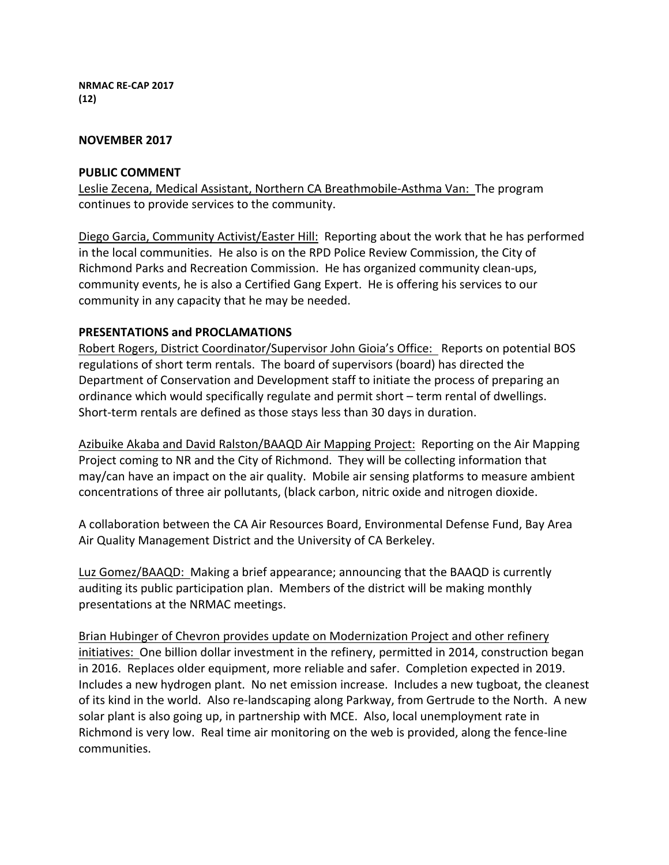**NRMAC RE-CAP 2017 (12)**

#### **NOVEMBER 2017**

#### **PUBLIC COMMENT**

Leslie Zecena, Medical Assistant, Northern CA Breathmobile-Asthma Van: The program continues to provide services to the community.

Diego Garcia, Community Activist/Easter Hill: Reporting about the work that he has performed in the local communities. He also is on the RPD Police Review Commission, the City of Richmond Parks and Recreation Commission. He has organized community clean-ups, community events, he is also a Certified Gang Expert. He is offering his services to our community in any capacity that he may be needed.

#### **PRESENTATIONS and PROCLAMATIONS**

Robert Rogers, District Coordinator/Supervisor John Gioia's Office: Reports on potential BOS regulations of short term rentals. The board of supervisors (board) has directed the Department of Conservation and Development staff to initiate the process of preparing an ordinance which would specifically regulate and permit short - term rental of dwellings. Short-term rentals are defined as those stays less than 30 days in duration.

Azibuike Akaba and David Ralston/BAAQD Air Mapping Project: Reporting on the Air Mapping Project coming to NR and the City of Richmond. They will be collecting information that may/can have an impact on the air quality. Mobile air sensing platforms to measure ambient concentrations of three air pollutants, (black carbon, nitric oxide and nitrogen dioxide.

A collaboration between the CA Air Resources Board, Environmental Defense Fund, Bay Area Air Quality Management District and the University of CA Berkeley.

Luz Gomez/BAAQD: Making a brief appearance; announcing that the BAAQD is currently auditing its public participation plan. Members of the district will be making monthly presentations at the NRMAC meetings.

Brian Hubinger of Chevron provides update on Modernization Project and other refinery initiatives: One billion dollar investment in the refinery, permitted in 2014, construction began in 2016. Replaces older equipment, more reliable and safer. Completion expected in 2019. Includes a new hydrogen plant. No net emission increase. Includes a new tugboat, the cleanest of its kind in the world. Also re-landscaping along Parkway, from Gertrude to the North. A new solar plant is also going up, in partnership with MCE. Also, local unemployment rate in Richmond is very low. Real time air monitoring on the web is provided, along the fence-line communities.